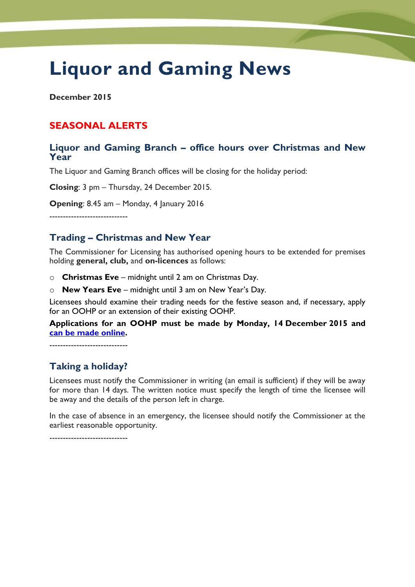# **Liquor and Gaming News**

**December 2015**

# **SEASONAL ALERTS**

#### **Liquor and Gaming Branch – office hours over Christmas and New Year**

The Liquor and Gaming Branch offices will be closing for the holiday period:

**Closing**: 3 pm – Thursday, 24 December 2015.

**Opening**: 8.45 am – Monday, 4 January 2016

-----------------------------

## **Trading – Christmas and New Year**

The Commissioner for Licensing has authorised opening hours to be extended for premises holding **general, club,** and **on-licences** as follows:

- o **Christmas Eve** midnight until 2 am on Christmas Day.
- o **New Years Eve** midnight until 3 am on New Year's Day.

Licensees should examine their trading needs for the festive season and, if necessary, apply for an OOHP or an extension of their existing OOHP.

#### **Applications for an OOHP must be made by Monday, 14 December 2015 and [can be made online.](http://www.treasury.tas.gov.au/domino/dtf/dtf.nsf/6044ee0c1cf958a2ca256f2500108bba/7d0b72aa56acca38ca257d8200177259?OpenDocument)**

-----------------------------

## **Taking a holiday?**

Licensees must notify the Commissioner in writing (an email is sufficient) if they will be away for more than 14 days. The written notice must specify the length of time the licensee will be away and the details of the person left in charge.

In the case of absence in an emergency, the licensee should notify the Commissioner at the earliest reasonable opportunity.

-----------------------------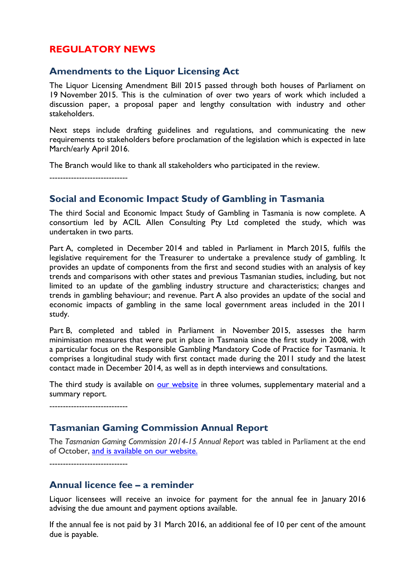#### **REGULATORY NEWS**

#### **Amendments to the Liquor Licensing Act**

The Liquor Licensing Amendment Bill 2015 passed through both houses of Parliament on 19 November 2015. This is the culmination of over two years of work which included a discussion paper, a proposal paper and lengthy consultation with industry and other stakeholders.

Next steps include drafting guidelines and regulations, and communicating the new requirements to stakeholders before proclamation of the legislation which is expected in late March/early April 2016.

The Branch would like to thank all stakeholders who participated in the review.

-----------------------------

#### **Social and Economic Impact Study of Gambling in Tasmania**

The third Social and Economic Impact Study of Gambling in Tasmania is now complete. A consortium led by ACIL Allen Consulting Pty Ltd completed the study, which was undertaken in two parts.

Part A, completed in December 2014 and tabled in Parliament in March 2015, fulfils the legislative requirement for the Treasurer to undertake a prevalence study of gambling. It provides an update of components from the first and second studies with an analysis of key trends and comparisons with other states and previous Tasmanian studies, including, but not limited to an update of the gambling industry structure and characteristics; changes and trends in gambling behaviour; and revenue. Part A also provides an update of the social and economic impacts of gambling in the same local government areas included in the 2011 study.

Part B, completed and tabled in Parliament in November 2015, assesses the harm minimisation measures that were put in place in Tasmania since the first study in 2008, with a particular focus on the Responsible Gambling Mandatory Code of Practice for Tasmania. It comprises a longitudinal study with first contact made during the 2011 study and the latest contact made in December 2014, as well as in depth interviews and consultations.

The third study is available on [our website](http://www.treasury.tas.gov.au/domino/dtf/dtf.nsf/6044ee0c1cf958a2ca256f2500108bba/c4d6d16c4aac53c9ca257d8200177256?OpenDocument) in three volumes, supplementary material and a summary report.

-----------------------------

#### **Tasmanian Gaming Commission Annual Report**

The *Tasmanian Gaming Commission 2014-15 Annual Report* was tabled in Parliament at the end of October, [and is available on our website.](http://www.treasury.tas.gov.au/domino/dtf/dtf.nsf/LookupFiles/TGC2014-15AnnualReport.pdf/$file/TGC2014-15AnnualReport.pdf)

-----------------------------

#### **Annual licence fee – a reminder**

Liquor licensees will receive an invoice for payment for the annual fee in January 2016 advising the due amount and payment options available.

If the annual fee is not paid by 31 March 2016, an additional fee of 10 per cent of the amount due is payable.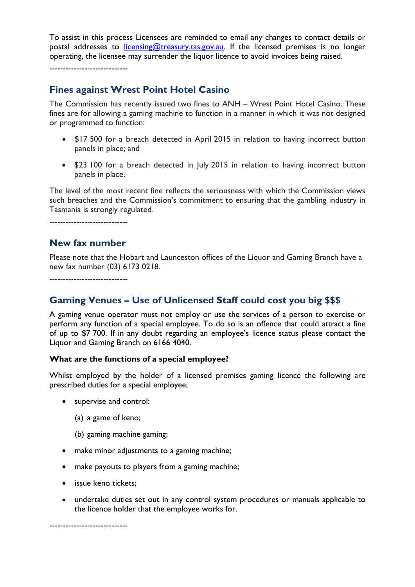To assist in this process Licensees are reminded to email any changes to contact details or postal addresses to [licensing@treasury.tas.gov.au.](mailto:licensing@treasury.tas.gov.au) If the licensed premises is no longer operating, the licensee may surrender the liquor licence to avoid invoices being raised.

-----------------------------

#### **Fines against Wrest Point Hotel Casino**

The Commission has recently issued two fines to ANH – Wrest Point Hotel Casino. These fines are for allowing a gaming machine to function in a manner in which it was not designed or programmed to function:

- \$17 500 for a breach detected in April 2015 in relation to having incorrect button panels in place; and
- \$23 100 for a breach detected in July 2015 in relation to having incorrect button panels in place.

The level of the most recent fine reflects the seriousness with which the Commission views such breaches and the Commission's commitment to ensuring that the gambling industry in Tasmania is strongly regulated.

-----------------------------

#### **New fax number**

Please note that the Hobart and Launceston offices of the Liquor and Gaming Branch have a new fax number (03) 6173 0218.

-----------------------------

## **Gaming Venues – Use of Unlicensed Staff could cost you big \$\$\$**

A gaming venue operator must not employ or use the services of a person to exercise or perform any function of a special employee. To do so is an offence that could attract a fine of up to \$7 700. If in any doubt regarding an employee's licence status please contact the Liquor and Gaming Branch on 6166 4040.

#### **What are the functions of a special employee?**

Whilst employed by the holder of a licensed premises gaming licence the following are prescribed duties for a special employee;

- supervise and control:
	- (a) a game of keno;
	- (b) gaming machine gaming;
- make minor adjustments to a gaming machine;
- make payouts to players from a gaming machine;
- issue keno tickets:
- undertake duties set out in any control system procedures or manuals applicable to the licence holder that the employee works for.

-----------------------------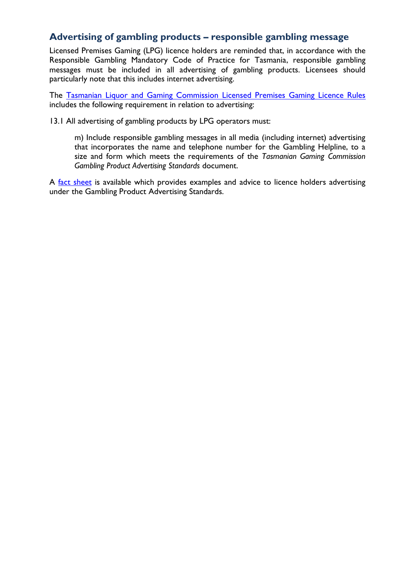#### **Advertising of gambling products – responsible gambling message**

Licensed Premises Gaming (LPG) licence holders are reminded that, in accordance with the Responsible Gambling Mandatory Code of Practice for Tasmania, responsible gambling messages must be included in all advertising of gambling products. Licensees should particularly note that this includes internet advertising.

The [Tasmanian Liquor and Gaming Commission Licensed Premises Gaming Licence Rules](http://www.treasury.tas.gov.au/domino/dtf/dtf.nsf/LookupFiles/LPGrules2014.PDF/$file/LPGrules2014.PDF) includes the following requirement in relation to advertising:

13.1 All advertising of gambling products by LPG operators must:

m) Include responsible gambling messages in all media (including internet) advertising that incorporates the name and telephone number for the Gambling Helpline, to a size and form which meets the requirements of the *Tasmanian Gaming Commission Gambling Product Advertising Standards* document.

A [fact sheet](http://www.treasury.tas.gov.au/domino/dtf/dtf.nsf/LookupFiles/GamblingProductAdvertisingStandardsFactSheet.PDF/$file/GamblingProductAdvertisingStandardsFactSheet.PDF) is available which provides examples and advice to licence holders advertising under the Gambling Product Advertising Standards.